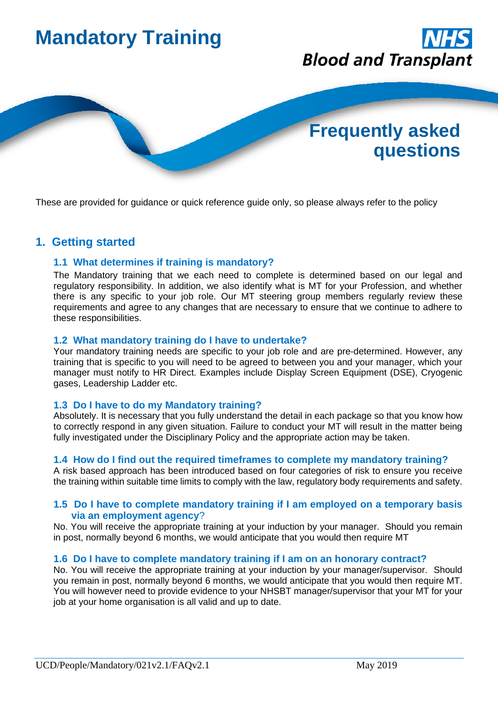

These are provided for guidance or quick reference guide only, so please always refer to the policy

# **1. Getting started**

### **1.1 What determines if training is mandatory?**

The Mandatory training that we each need to complete is determined based on our legal and regulatory responsibility. In addition, we also identify what is MT for your Profession, and whether there is any specific to your job role. Our MT steering group members regularly review these requirements and agree to any changes that are necessary to ensure that we continue to adhere to these responsibilities.

### **1.2 What mandatory training do I have to undertake?**

Your mandatory training needs are specific to your job role and are pre-determined. However, any training that is specific to you will need to be agreed to between you and your manager, which your manager must notify to HR Direct. Examples include Display Screen Equipment (DSE), Cryogenic gases, Leadership Ladder etc.

### **1.3 Do I have to do my Mandatory training?**

Absolutely. It is necessary that you fully understand the detail in each package so that you know how to correctly respond in any given situation. Failure to conduct your MT will result in the matter being fully investigated under the Disciplinary Policy and the appropriate action may be taken.

#### **1.4 How do I find out the required timeframes to complete my mandatory training?**

A risk based approach has been introduced based on four categories of risk to ensure you receive the training within suitable time limits to comply with the law, regulatory body requirements and safety.

#### **1.5 Do I have to complete mandatory training if I am employed on a temporary basis via an employment agency**?

No. You will receive the appropriate training at your induction by your manager. Should you remain in post, normally beyond 6 months, we would anticipate that you would then require MT

#### **1.6 Do I have to complete mandatory training if I am on an honorary contract?**

No. You will receive the appropriate training at your induction by your manager/supervisor. Should you remain in post, normally beyond 6 months, we would anticipate that you would then require MT. You will however need to provide evidence to your NHSBT manager/supervisor that your MT for your job at your home organisation is all valid and up to date.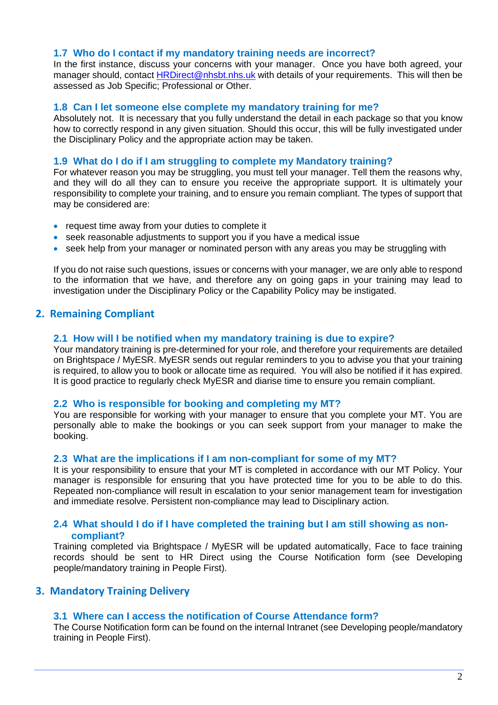#### **1.7 Who do I contact if my mandatory training needs are incorrect?**

In the first instance, discuss your concerns with your manager. Once you have both agreed, your manager should, contact **HRDirect@nhsbt.nhs.uk** with details of your requirements. This will then be assessed as Job Specific; Professional or Other.

#### **1.8 Can I let someone else complete my mandatory training for me?**

Absolutely not. It is necessary that you fully understand the detail in each package so that you know how to correctly respond in any given situation. Should this occur, this will be fully investigated under the Disciplinary Policy and the appropriate action may be taken.

#### **1.9 What do I do if I am struggling to complete my Mandatory training?**

For whatever reason you may be struggling, you must tell your manager. Tell them the reasons why, and they will do all they can to ensure you receive the appropriate support. It is ultimately your responsibility to complete your training, and to ensure you remain compliant. The types of support that may be considered are:

- request time away from your duties to complete it
- seek reasonable adjustments to support you if you have a medical issue
- seek help from your manager or nominated person with any areas you may be struggling with

If you do not raise such questions, issues or concerns with your manager, we are only able to respond to the information that we have, and therefore any on going gaps in your training may lead to investigation under the Disciplinary Policy or the Capability Policy may be instigated.

### **2. Remaining Compliant**

#### **2.1 How will I be notified when my mandatory training is due to expire?**

Your mandatory training is pre-determined for your role, and therefore your requirements are detailed on Brightspace / MyESR. MyESR sends out regular reminders to you to advise you that your training is required, to allow you to book or allocate time as required. You will also be notified if it has expired. It is good practice to regularly check MyESR and diarise time to ensure you remain compliant.

#### **2.2 Who is responsible for booking and completing my MT?**

You are responsible for working with your manager to ensure that you complete your MT. You are personally able to make the bookings or you can seek support from your manager to make the booking.

#### **2.3 What are the implications if I am non-compliant for some of my MT?**

It is your responsibility to ensure that your MT is completed in accordance with our MT Policy. Your manager is responsible for ensuring that you have protected time for you to be able to do this. Repeated non-compliance will result in escalation to your senior management team for investigation and immediate resolve. Persistent non-compliance may lead to Disciplinary action.

### **2.4 What should I do if I have completed the training but I am still showing as noncompliant?**

Training completed via Brightspace / MyESR will be updated automatically, Face to face training records should be sent to HR Direct using the Course Notification form (see Developing people/mandatory training in People First).

### **3. Mandatory Training Delivery**

#### **3.1 Where can I access the notification of Course Attendance form?**

The Course Notification form can be found on the internal Intranet (see Developing people/mandatory training in People First).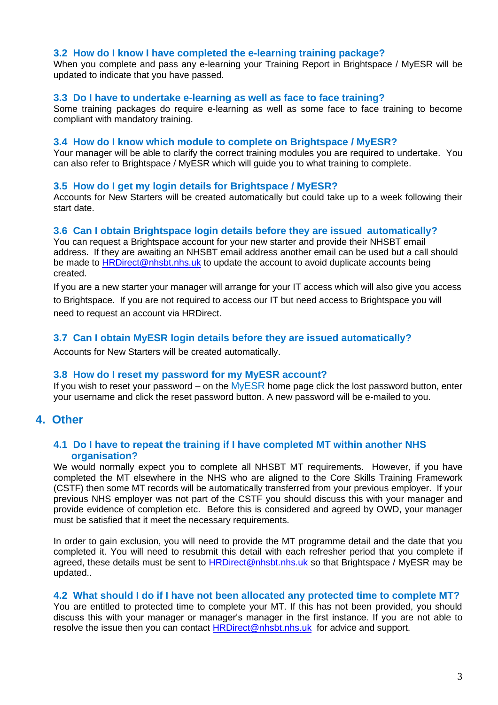#### **3.2 How do I know I have completed the e-learning training package?**

When you complete and pass any e-learning your Training Report in Brightspace / MyESR will be updated to indicate that you have passed.

#### **3.3 Do I have to undertake e-learning as well as face to face training?**

Some training packages do require e-learning as well as some face to face training to become compliant with mandatory training.

#### **3.4 How do I know which module to complete on Brightspace / MyESR?**

Your manager will be able to clarify the correct training modules you are required to undertake. You can also refer to Brightspace / MyESR which will guide you to what training to complete.

### **3.5 How do I get my login details for Brightspace / MyESR?**

Accounts for New Starters will be created automatically but could take up to a week following their start date.

#### **3.6 Can I obtain Brightspace login details before they are issued automatically?**

You can [request](https://nhsbt.onlinesurveys.ac.uk/shine-academy-account-setup) a Brightspace account for your new starter and provide their NHSBT email address. If they are awaiting an NHSBT email address another email can be used but a call should be made to [HRDirect@nhsbt.nhs.uk](mailto:HRDirect@nhsbt.nhs.uk) to update the account to avoid duplicate accounts being created.

If you are a new starter your manager will arrange for your IT access which will also give you access to Brightspace. If you are not required to access our IT but need access to Brightspace you will need to request an account via HRDirect.

### **3.7 Can I obtain MyESR login details before they are issued automatically?**

Accounts for New Starters will be created automatically.

#### **3.8 How do I reset my password for my MyESR account?**

If you wish to reset your password – on the  $MyESR$  home page click the lost password button, enter your username and click the reset password button. A new password will be e-mailed to you.

## **4. Other**

### **4.1 Do I have to repeat the training if I have completed MT within another NHS organisation?**

We would normally expect you to complete all NHSBT MT requirements. However, if you have completed the MT elsewhere in the NHS who are aligned to the Core Skills Training Framework (CSTF) then some MT records will be automatically transferred from your previous employer. If your previous NHS employer was not part of the CSTF you should discuss this with your manager and provide evidence of completion etc. Before this is considered and agreed by OWD, your manager must be satisfied that it meet the necessary requirements.

In order to gain exclusion, you will need to provide the MT programme detail and the date that you completed it. You will need to resubmit this detail with each refresher period that you complete if agreed, these details must be sent to **HRDirect@nhsbt.nhs.uk** so that Brightspace / MyESR may be updated..

#### **4.2 What should I do if I have not been allocated any protected time to complete MT?**

You are entitled to protected time to complete your MT. If this has not been provided, you should discuss this with your manager or manager's manager in the first instance. If you are not able to resolve the issue then you can contact [HRDirect@nhsbt.nhs.uk](mailto:HRDirect@nhsbt.nhs.uk) for advice and support.